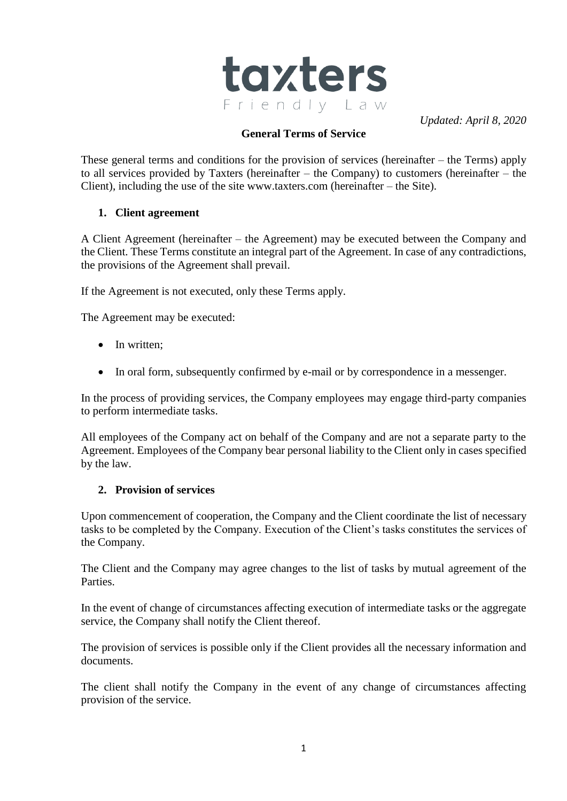

*Updated: April 8, 2020*

### **General Terms of Service**

These general terms and conditions for the provision of services (hereinafter – the Terms) apply to all services provided by Taxters (hereinafter – the Company) to customers (hereinafter – the Client), including the use of the site www.taxters.com (hereinafter – the Site).

### **1. Client agreement**

A Client Agreement (hereinafter – the Agreement) may be executed between the Company and the Client. These Terms constitute an integral part of the Agreement. In case of any contradictions, the provisions of the Agreement shall prevail.

If the Agreement is not executed, only these Terms apply.

The Agreement may be executed:

- In written:
- In oral form, subsequently confirmed by e-mail or by correspondence in a messenger.

In the process of providing services, the Company employees may engage third-party companies to perform intermediate tasks.

All employees of the Company act on behalf of the Company and are not a separate party to the Agreement. Employees of the Company bear personal liability to the Client only in cases specified by the law.

#### **2. Provision of services**

Upon commencement of cooperation, the Company and the Client coordinate the list of necessary tasks to be completed by the Company. Execution of the Client's tasks constitutes the services of the Company.

The Client and the Company may agree changes to the list of tasks by mutual agreement of the Parties.

In the event of change of circumstances affecting execution of intermediate tasks or the aggregate service, the Company shall notify the Client thereof.

The provision of services is possible only if the Client provides all the necessary information and documents.

The client shall notify the Company in the event of any change of circumstances affecting provision of the service.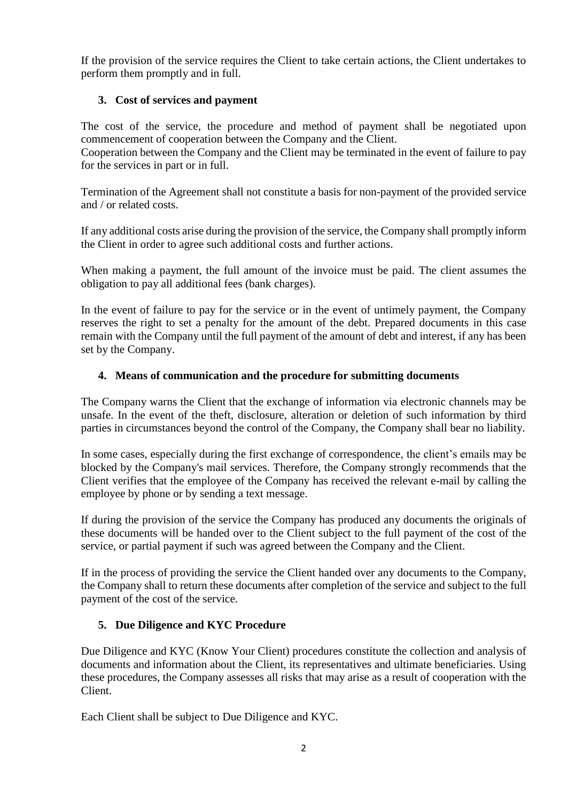If the provision of the service requires the Client to take certain actions, the Client undertakes to perform them promptly and in full.

## **3. Cost of services and payment**

The cost of the service, the procedure and method of payment shall be negotiated upon commencement of cooperation between the Company and the Client.

Cooperation between the Company and the Client may be terminated in the event of failure to pay for the services in part or in full.

Termination of the Agreement shall not constitute a basis for non-payment of the provided service and / or related costs.

If any additional costs arise during the provision of the service, the Company shall promptly inform the Client in order to agree such additional costs and further actions.

When making a payment, the full amount of the invoice must be paid. The client assumes the obligation to pay all additional fees (bank charges).

In the event of failure to pay for the service or in the event of untimely payment, the Company reserves the right to set a penalty for the amount of the debt. Prepared documents in this case remain with the Company until the full payment of the amount of debt and interest, if any has been set by the Company.

### **4. Means of communication and the procedure for submitting documents**

The Company warns the Client that the exchange of information via electronic channels may be unsafe. In the event of the theft, disclosure, alteration or deletion of such information by third parties in circumstances beyond the control of the Company, the Company shall bear no liability.

In some cases, especially during the first exchange of correspondence, the client's emails may be blocked by the Company's mail services. Therefore, the Company strongly recommends that the Client verifies that the employee of the Company has received the relevant e-mail by calling the employee by phone or by sending a text message.

If during the provision of the service the Company has produced any documents the originals of these documents will be handed over to the Client subject to the full payment of the cost of the service, or partial payment if such was agreed between the Company and the Client.

If in the process of providing the service the Client handed over any documents to the Company, the Company shall to return these documents after completion of the service and subject to the full payment of the cost of the service.

### **5. Due Diligence and KYC Procedure**

Due Diligence and KYC (Know Your Client) procedures constitute the collection and analysis of documents and information about the Client, its representatives and ultimate beneficiaries. Using these procedures, the Company assesses all risks that may arise as a result of cooperation with the Client.

Each Client shall be subject to Due Diligence and KYC.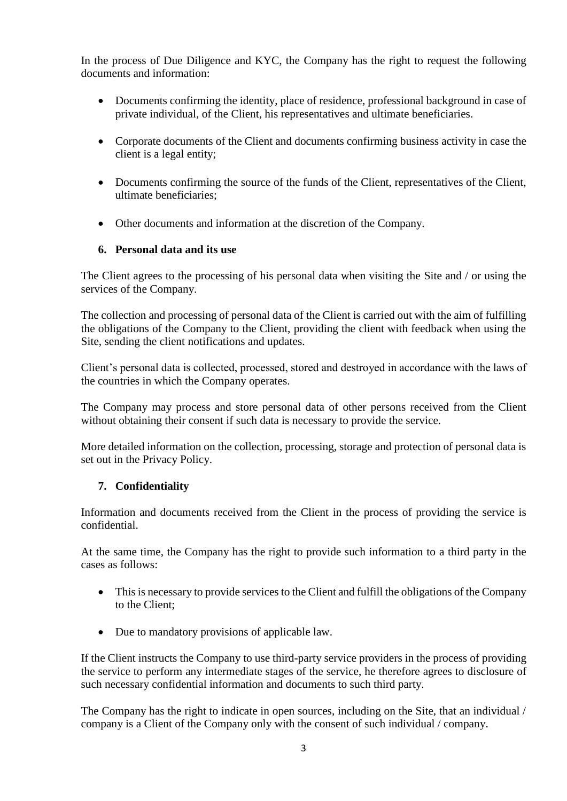In the process of Due Diligence and KYC, the Company has the right to request the following documents and information:

- Documents confirming the identity, place of residence, professional background in case of private individual, of the Client, his representatives and ultimate beneficiaries.
- Corporate documents of the Client and documents confirming business activity in case the client is a legal entity;
- Documents confirming the source of the funds of the Client, representatives of the Client, ultimate beneficiaries;
- Other documents and information at the discretion of the Company.

### **6. Personal data and its use**

The Client agrees to the processing of his personal data when visiting the Site and / or using the services of the Company.

The collection and processing of personal data of the Client is carried out with the aim of fulfilling the obligations of the Company to the Client, providing the client with feedback when using the Site, sending the client notifications and updates.

Client's personal data is collected, processed, stored and destroyed in accordance with the laws of the countries in which the Company operates.

The Company may process and store personal data of other persons received from the Client without obtaining their consent if such data is necessary to provide the service.

More detailed information on the collection, processing, storage and protection of personal data is set out in the Privacy Policy.

# **7. Confidentiality**

Information and documents received from the Client in the process of providing the service is confidential.

At the same time, the Company has the right to provide such information to a third party in the cases as follows:

- This is necessary to provide services to the Client and fulfill the obligations of the Company to the Client;
- Due to mandatory provisions of applicable law.

If the Client instructs the Company to use third-party service providers in the process of providing the service to perform any intermediate stages of the service, he therefore agrees to disclosure of such necessary confidential information and documents to such third party.

The Company has the right to indicate in open sources, including on the Site, that an individual / company is a Client of the Company only with the consent of such individual / company.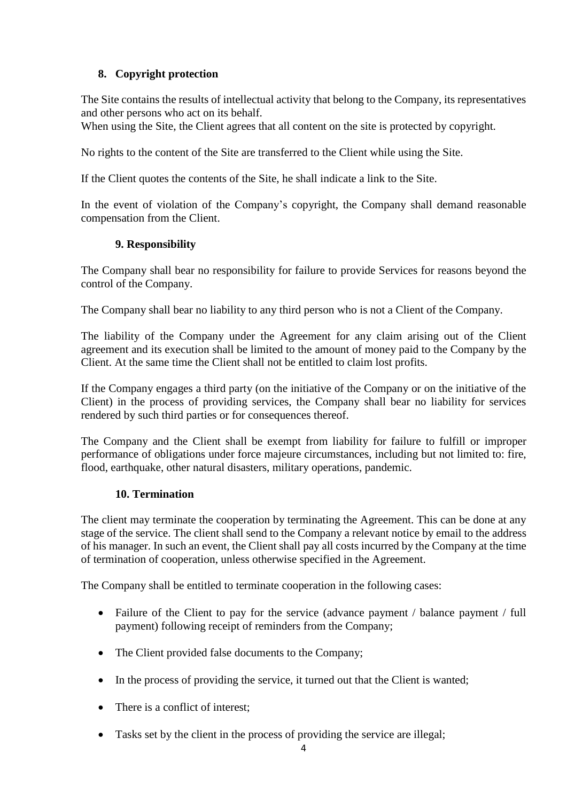## **8. Copyright protection**

The Site contains the results of intellectual activity that belong to the Company, its representatives and other persons who act on its behalf.

When using the Site, the Client agrees that all content on the site is protected by copyright.

No rights to the content of the Site are transferred to the Client while using the Site.

If the Client quotes the contents of the Site, he shall indicate a link to the Site.

In the event of violation of the Company's copyright, the Company shall demand reasonable compensation from the Client.

### **9. Responsibility**

The Company shall bear no responsibility for failure to provide Services for reasons beyond the control of the Company.

The Company shall bear no liability to any third person who is not a Client of the Company.

The liability of the Company under the Agreement for any claim arising out of the Client agreement and its execution shall be limited to the amount of money paid to the Company by the Client. At the same time the Client shall not be entitled to claim lost profits.

If the Company engages a third party (on the initiative of the Company or on the initiative of the Client) in the process of providing services, the Company shall bear no liability for services rendered by such third parties or for consequences thereof.

The Company and the Client shall be exempt from liability for failure to fulfill or improper performance of obligations under force majeure circumstances, including but not limited to: fire, flood, earthquake, other natural disasters, military operations, pandemic.

### **10. Termination**

The client may terminate the cooperation by terminating the Agreement. This can be done at any stage of the service. The client shall send to the Company a relevant notice by email to the address of his manager. In such an event, the Client shall pay all costs incurred by the Company at the time of termination of cooperation, unless otherwise specified in the Agreement.

The Company shall be entitled to terminate cooperation in the following cases:

- Failure of the Client to pay for the service (advance payment / balance payment / full payment) following receipt of reminders from the Company;
- The Client provided false documents to the Company;
- In the process of providing the service, it turned out that the Client is wanted;
- There is a conflict of interest:
- Tasks set by the client in the process of providing the service are illegal;